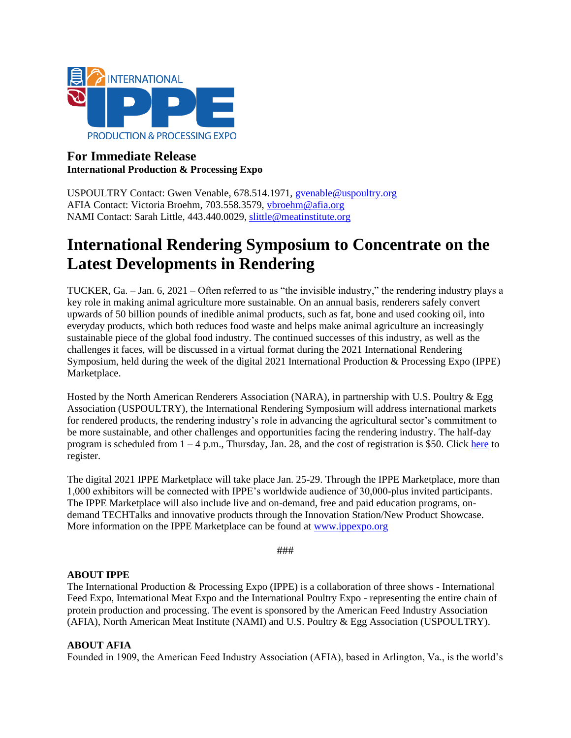

## **For Immediate Release International Production & Processing Expo**

USPOULTRY Contact: Gwen Venable, 678.514.1971, [gvenable@uspoultry.org](mailto:gvenable@uspoultry.org)  AFIA Contact: Victoria Broehm, 703.558.3579, [vbroehm@afia.org](mailto:ldotterweich@afia.org)  NAMI Contact: Sarah Little, 443.440.0029, [slittle@meatinstitute.org](mailto:slittle@meatinstitute.org)

# **International Rendering Symposium to Concentrate on the Latest Developments in Rendering**

TUCKER, Ga. – Jan. 6, 2021 – Often referred to as "the invisible industry," the rendering industry plays a key role in making animal agriculture more sustainable. On an annual basis, renderers safely convert upwards of 50 billion pounds of inedible animal products, such as fat, bone and used cooking oil, into everyday products, which both reduces food waste and helps make animal agriculture an increasingly sustainable piece of the global food industry. The continued successes of this industry, as well as the challenges it faces, will be discussed in a virtual format during the 2021 International Rendering Symposium, held during the week of the digital 2021 International Production & Processing Expo (IPPE) Marketplace.

Hosted by the North American Renderers Association (NARA), in partnership with U.S. Poultry & Egg Association (USPOULTRY), the International Rendering Symposium will address international markets for rendered products, the rendering industry's role in advancing the agricultural sector's commitment to be more sustainable, and other challenges and opportunities facing the rendering industry. The half-day program is scheduled from  $1 - 4$  p.m., Thursday, Jan. 28, and the cost of registration is \$50. Click [here](https://zoom.us/webinar/register/WN_3m_rf--kQtOgNHwB6Bg0kg) to register.

The digital 2021 IPPE Marketplace will take place Jan. 25-29. Through the IPPE Marketplace, more than 1,000 exhibitors will be connected with IPPE's worldwide audience of 30,000-plus invited participants. The IPPE Marketplace will also include live and on-demand, free and paid education programs, ondemand TECHTalks and innovative products through the Innovation Station/New Product Showcase. More information on the IPPE Marketplace can be found at [www.ippexpo.org](http://www.ippexpo.org/)

###

#### **ABOUT IPPE**

The International Production & Processing Expo (IPPE) is a collaboration of three shows - International Feed Expo, International Meat Expo and the International Poultry Expo - representing the entire chain of protein production and processing. The event is sponsored by the American Feed Industry Association (AFIA), North American Meat Institute (NAMI) and U.S. Poultry & Egg Association (USPOULTRY).

#### **ABOUT AFIA**

Founded in 1909, the American Feed Industry Association (AFIA), based in Arlington, Va., is the world's